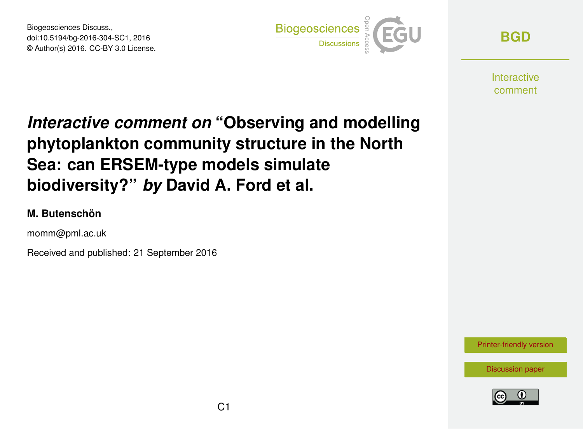Biogeosciences Discuss., doi:10.5194/bg-2016-304-SC1, 2016 © Author(s) 2016. CC-BY 3.0 License.



**[BGD](http://www.biogeosciences-discuss.net/)**

**Interactive** comment

## *Interactive comment on* **"Observing and modelling phytoplankton community structure in the North Sea: can ERSEM-type models simulate biodiversity?"** *by* **David A. Ford et al.**

## **M. Butenschön**

momm@pml.ac.uk

Received and published: 21 September 2016

[Printer-friendly version](http://www.biogeosciences-discuss.net/bg-2016-304/bg-2016-304-SC1-print.pdf)

[Discussion paper](http://www.biogeosciences-discuss.net/bg-2016-304)

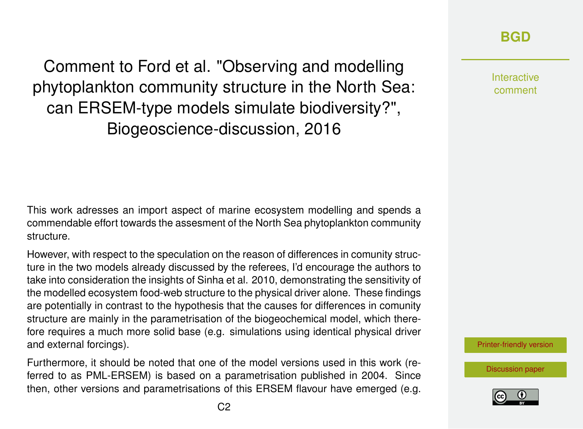Comment to Ford et al. "Observing and modelling phytoplankton community structure in the North Sea: can ERSEM-type models simulate biodiversity?", Biogeoscience-discussion, 2016

This work adresses an import aspect of marine ecosystem modelling and spends a commendable effort towards the assesment of the North Sea phytoplankton community structure.

However, with respect to the speculation on the reason of differences in comunity structure in the two models already discussed by the referees, I'd encourage the authors to take into consideration the insights of Sinha et al. 2010, demonstrating the sensitivity of the modelled ecosystem food-web structure to the physical driver alone. These findings are potentially in contrast to the hypothesis that the causes for differences in comunity structure are mainly in the parametrisation of the biogeochemical model, which therefore requires a much more solid base (e.g. simulations using identical physical driver and external forcings).

Furthermore, it should be noted that one of the model versions used in this work (referred to as PML-ERSEM) is based on a parametrisation published in 2004. Since then, other versions and parametrisations of this ERSEM flavour have emerged (e.g.

Interactive comment

[Printer-friendly version](http://www.biogeosciences-discuss.net/bg-2016-304/bg-2016-304-SC1-print.pdf)

[Discussion paper](http://www.biogeosciences-discuss.net/bg-2016-304)